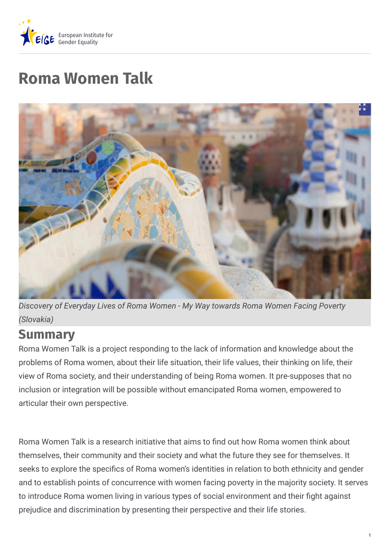

# **Roma Women Talk**



*Discovery of Everyday Lives of Roma Women - My Way towards Roma Women Facing Poverty (Slovakia)*

### **Summary**

Roma Women Talk is a project responding to the lack of information and knowledge about the problems of Roma women, about their life situation, their life values, their thinking on life, their view of Roma society, and their understanding of being Roma women. It pre-supposes that no inclusion or integration will be possible without emancipated Roma women, empowered to articular their own perspective.

Roma Women Talk is a research initiative that aims to find out how Roma women think about themselves, their community and their society and what the future they see for themselves. It seeks to explore the specifics of Roma women's identities in relation to both ethnicity and gender and to establish points of concurrence with women facing poverty in the majority society. It serves to introduce Roma women living in various types of social environment and their fight against prejudice and discrimination by presenting their perspective and their life stories.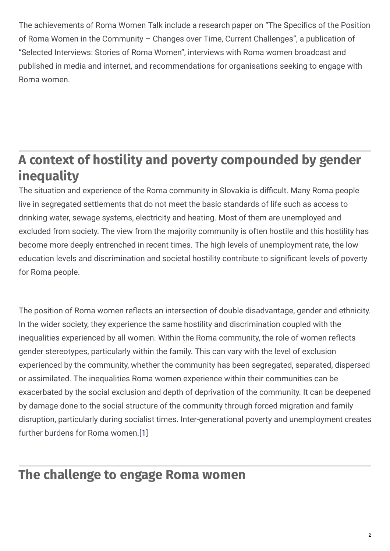The achievements of Roma Women Talk include a research paper on "The Specifics of the Position of Roma Women in the Community – Changes over Time, Current Challenges", a publication of "Selected Interviews: Stories of Roma Women", interviews with Roma women broadcast and published in media and internet, and recommendations for organisations seeking to engage with Roma women.

### **A context of hostility and poverty compounded by gender inequality**

The situation and experience of the Roma community in Slovakia is difficult. Many Roma people live in segregated settlements that do not meet the basic standards of life such as access to drinking water, sewage systems, electricity and heating. Most of them are unemployed and excluded from society. The view from the majority community is often hostile and this hostility has become more deeply entrenched in recent times. The high levels of unemployment rate, the low education levels and discrimination and societal hostility contribute to significant levels of poverty for Roma people.

The position of Roma women reflects an intersection of double disadvantage, gender and ethnicity. In the wider society, they experience the same hostility and discrimination coupled with the inequalities experienced by all women. Within the Roma community, the role of women reflects gender stereotypes, particularly within the family. This can vary with the level of exclusion experienced by the community, whether the community has been segregated, separated, dispersed or assimilated. The inequalities Roma women experience within their communities can be exacerbated by the social exclusion and depth of deprivation of the community. It can be deepened by damage done to the social structure of the community through forced migration and family disruption, particularly during socialist times. Inter-generational poverty and unemployment creates further burdens for Roma women.[[1](https://eige.europa.eu/gender-mainstreaming/good-practices/slovakia/roma-women-talk?lang=sl#1)]

### **The challenge to engage Roma women**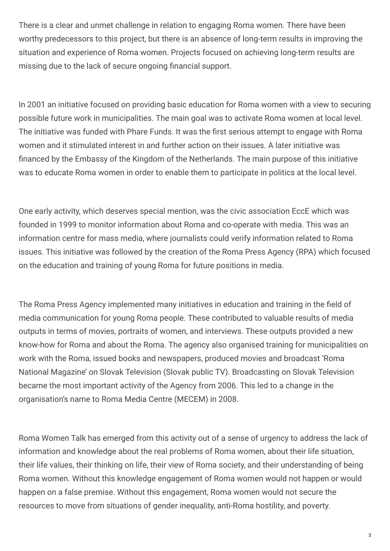There is a clear and unmet challenge in relation to engaging Roma women. There have been worthy predecessors to this project, but there is an absence of long-term results in improving the situation and experience of Roma women. Projects focused on achieving long-term results are missing due to the lack of secure ongoing financial support.

In 2001 an initiative focused on providing basic education for Roma women with a view to securing possible future work in municipalities. The main goal was to activate Roma women at local level. The initiative was funded with Phare Funds. It was the first serious attempt to engage with Roma women and it stimulated interest in and further action on their issues. A later initiative was nanced by the Embassy of the Kingdom of the Netherlands. The main purpose of this initiative was to educate Roma women in order to enable them to participate in politics at the local level.

One early activity, which deserves special mention, was the civic association EccE which was founded in 1999 to monitor information about Roma and co-operate with media. This was an information centre for mass media, where journalists could verify information related to Roma issues. This initiative was followed by the creation of the Roma Press Agency (RPA) which focused on the education and training of young Roma for future positions in media.

The Roma Press Agency implemented many initiatives in education and training in the field of media communication for young Roma people. These contributed to valuable results of media outputs in terms of movies, portraits of women, and interviews. These outputs provided a new know-how for Roma and about the Roma. The agency also organised training for municipalities on work with the Roma, issued books and newspapers, produced movies and broadcast 'Roma National Magazine' on Slovak Television (Slovak public TV). Broadcasting on Slovak Television became the most important activity of the Agency from 2006. This led to a change in the organisation's name to Roma Media Centre (MECEM) in 2008.

Roma Women Talk has emerged from this activity out of a sense of urgency to address the lack of information and knowledge about the real problems of Roma women, about their life situation, their life values, their thinking on life, their view of Roma society, and their understanding of being Roma women. Without this knowledge engagement of Roma women would not happen or would happen on a false premise. Without this engagement, Roma women would not secure the resources to move from situations of gender inequality, anti-Roma hostility, and poverty.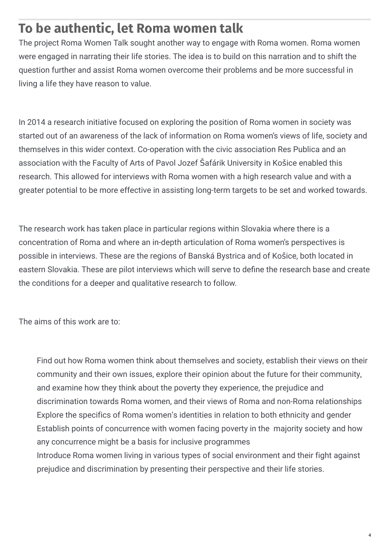### **To be authentic, let Roma women talk**

The project Roma Women Talk sought another way to engage with Roma women. Roma women were engaged in narrating their life stories. The idea is to build on this narration and to shift the question further and assist Roma women overcome their problems and be more successful in living a life they have reason to value.

In 2014 a research initiative focused on exploring the position of Roma women in society was started out of an awareness of the lack of information on Roma women's views of life, society and themselves in this wider context. Co-operation with the civic association Res Publica and an association with the Faculty of Arts of Pavol Jozef Šafárik University in Košice enabled this research. This allowed for interviews with Roma women with a high research value and with a greater potential to be more effective in assisting long-term targets to be set and worked towards.

The research work has taken place in particular regions within Slovakia where there is a concentration of Roma and where an in-depth articulation of Roma women's perspectives is possible in interviews. These are the regions of Banská Bystrica and of Košice, both located in eastern Slovakia. These are pilot interviews which will serve to define the research base and create the conditions for a deeper and qualitative research to follow.

The aims of this work are to:

Find out how Roma women think about themselves and society, establish their views on their community and their own issues, explore their opinion about the future for their community, and examine how they think about the poverty they experience, the prejudice and discrimination towards Roma women, and their views of Roma and non-Roma relationships Explore the specifics of Roma women's identities in relation to both ethnicity and gender Establish points of concurrence with women facing poverty in the majority society and how any concurrence might be a basis for inclusive programmes Introduce Roma women living in various types of social environment and their fight against prejudice and discrimination by presenting their perspective and their life stories.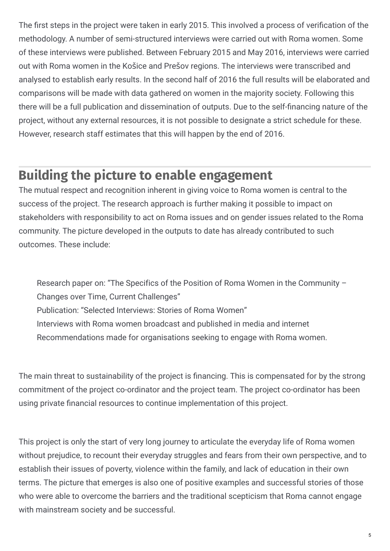The first steps in the project were taken in early 2015. This involved a process of verification of the methodology. A number of semi-structured interviews were carried out with Roma women. Some of these interviews were published. Between February 2015 and May 2016, interviews were carried out with Roma women in the Košice and Prešov regions. The interviews were transcribed and analysed to establish early results. In the second half of 2016 the full results will be elaborated and comparisons will be made with data gathered on women in the majority society. Following this there will be a full publication and dissemination of outputs. Due to the self-financing nature of the project, without any external resources, it is not possible to designate a strict schedule for these. However, research staff estimates that this will happen by the end of 2016.

### **Building the picture to enable engagement**

The mutual respect and recognition inherent in giving voice to Roma women is central to the success of the project. The research approach is further making it possible to impact on stakeholders with responsibility to act on Roma issues and on gender issues related to the Roma community. The picture developed in the outputs to date has already contributed to such outcomes. These include:

Research paper on: "The Specifics of the Position of Roma Women in the Community – Changes over Time, Current Challenges" Publication: "Selected Interviews: Stories of Roma Women" Interviews with Roma women broadcast and published in media and internet Recommendations made for organisations seeking to engage with Roma women.

The main threat to sustainability of the project is financing. This is compensated for by the strong commitment of the project co-ordinator and the project team. The project co-ordinator has been using private financial resources to continue implementation of this project.

This project is only the start of very long journey to articulate the everyday life of Roma women without prejudice, to recount their everyday struggles and fears from their own perspective, and to establish their issues of poverty, violence within the family, and lack of education in their own terms. The picture that emerges is also one of positive examples and successful stories of those who were able to overcome the barriers and the traditional scepticism that Roma cannot engage with mainstream society and be successful.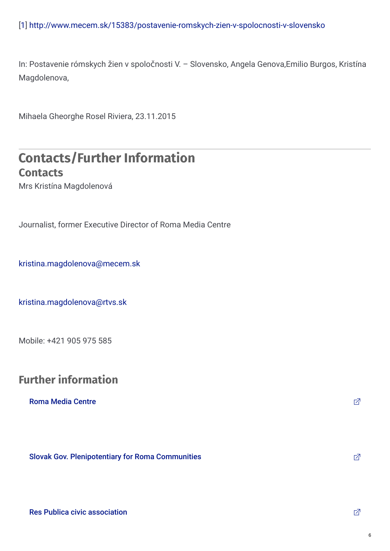[1] <http://www.mecem.sk/15383/postavenie-romskych-zien-v-spolocnosti-v-slovensko>

In: Postavenie rómskych žien v spoločnosti V. – Slovensko, Angela Genova,Emilio Burgos, Kristína Magdolenova,

Mihaela Gheorghe Rosel Riviera, 23.11.2015

#### **Contacts/Further Information Contacts**

Mrs Kristína Magdolenová

Journalist, former Executive Director of Roma Media Centre

[kristina.magdolenova@mecem.sk](mailto:kristina.magdolenova@mecem.sk)

[kristina.magdolenova@rtvs.sk](mailto:kristina.magdolenova@rtvs.sk)

Mobile: +421 905 975 585

#### **Further information**

#### **Roma Media [Centre](http://www.mecem.sk) インター・シーク しょうしょう しょうしょう しょうしょうしょう しょうしょうしょう しょうしょうしょう しょうしょう**

Slovak Gov. [Plenipotentiary](http://www.minv.sk/?romske-komunity-uvod) for Roma Communities **Slovak Communities**